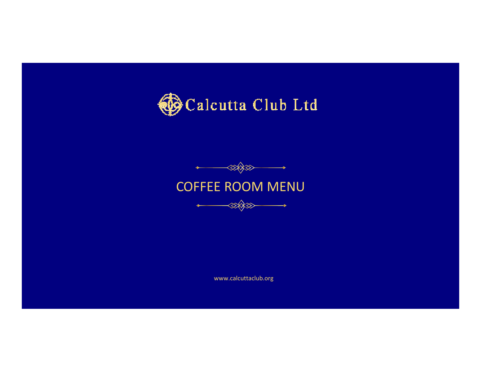





www.calcuttaclub.org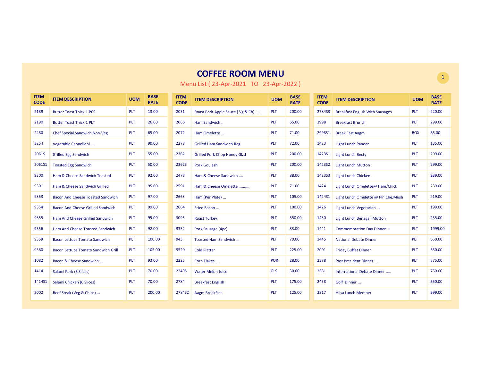| <b>ITEM</b><br><b>CODE</b> | <b>ITEM DESCRIPTION</b>                    | <b>UOM</b> | <b>BASE</b><br><b>RATE</b> | <b>ITEM</b><br><b>CODE</b> | <b>ITEM DESCRIPTION</b>             | <b>UOM</b> | <b>BASE</b><br><b>RATE</b> | <b>ITEM</b><br><b>CODE</b> | <b>ITEM DESCRIPTION</b>                | <b>UOM</b> |
|----------------------------|--------------------------------------------|------------|----------------------------|----------------------------|-------------------------------------|------------|----------------------------|----------------------------|----------------------------------------|------------|
| 2189                       | <b>Butter Toast Thick 1 PCS</b>            | <b>PLT</b> | 13.00                      | 2051                       | Roast Pork-Apple Sauce (Vg & Ch)    | <b>PLT</b> | 200.00                     | 2784S3                     | <b>Breakfast English With Sausages</b> | <b>PLT</b> |
| 2190                       | <b>Butter Toast Thick 1 PLT</b>            | <b>PLT</b> | 26.00                      | 2066                       | Ham Sandwich                        | <b>PLT</b> | 65.00                      | 2998                       | <b>Breakfast Brunch</b>                | <b>PLT</b> |
| 2480                       | <b>Chef Special Sandwich Non-Veg</b>       | <b>PLT</b> | 65.00                      | 2072                       | Ham Omelette                        | <b>PLT</b> | 71.00                      | 2998S1                     | <b>Break Fast Aagm</b>                 | <b>BOX</b> |
| 3254                       | Vegetable Cannelloni                       | <b>PLT</b> | 90.00                      | 2278                       | <b>Grilled Ham Sandwich Reg</b>     | <b>PLT</b> | 72.00                      | 1423                       | <b>Light Lunch Paneer</b>              | <b>PLT</b> |
| 2061S                      | <b>Grilled Egg Sandwich</b>                | <b>PLT</b> | 55.00                      | 2362                       | <b>Grilled Pork Chop Honey Glzd</b> | <b>PLT</b> | 200.00                     | 1423S1                     | <b>Light Lunch Becty</b>               | <b>PLT</b> |
| 2061S1                     | <b>Toasted Egg Sandwich</b>                | <b>PLT</b> | 50.00                      | 2362S                      | <b>Pork Goulash</b>                 | <b>PLT</b> | 200.00                     | 142352                     | <b>Light Lunch Mutton</b>              | <b>PLT</b> |
| 9300                       | Ham & Cheese Sandwich Toasted              | <b>PLT</b> | 92.00                      | 2478                       | Ham & Cheese Sandwich               | <b>PLT</b> | 88.00                      | 142353                     | <b>Light Lunch Chicken</b>             | <b>PLT</b> |
| 9301                       | Ham & Cheese Sandwich Grilled              | PLT        | 95.00                      | 2591                       | Ham & Cheese Omelette               | <b>PLT</b> | 71.00                      | 1424                       | Light Lunch Omelette@ Ham/Chick        | <b>PLT</b> |
| 9353                       | <b>Bacon And Cheese Toasted Sandwich</b>   | <b>PLT</b> | 97.00                      | 2663                       | Ham (Per Plate)                     | <b>PLT</b> | 105.00                     | 1424S1                     | Light Lunch Omelette @ Pln, Che, Mush  | <b>PLT</b> |
| 9354                       | <b>Bacon And Cheese Grilled Sandwich</b>   | <b>PLT</b> | 99.00                      | 2664                       | Fried Bacon                         | <b>PLT</b> | 100.00                     | 1426                       | Light Lunch Vegetarian                 | <b>PLT</b> |
| 9355                       | Ham And Cheese Grilled Sandwich            | <b>PLT</b> | 95.00                      | 3095                       | <b>Roast Turkey</b>                 | <b>PLT</b> | 550.00                     | 1430                       | Light Lunch Benagali Mutton            | <b>PLT</b> |
| 9356                       | Ham And Cheese Toasted Sandwich            | <b>PLT</b> | 92.00                      | 9352                       | Pork Sausage (4pc)                  | PLT        | 83.00                      | 1441                       | Commemoration Day Dinner               | <b>PLT</b> |
| 9359                       | <b>Bacon Lettuce Tomato Sandwich</b>       | <b>PLT</b> | 100.00                     | 943                        | Toasted Ham Sandwich                | <b>PLT</b> | 70.00                      | 1445                       | <b>National Debate Dinner</b>          | <b>PLT</b> |
| 9360                       | <b>Bacon Lettuce Tomato Sandwich Grill</b> | <b>PLT</b> | 105.00                     | 9520                       | <b>Cold Platter</b>                 | <b>PLT</b> | 225.00                     | 2001                       | <b>Friday Buffet Dinner</b>            | <b>PLT</b> |
| 1082                       | Bacon & Cheese Sandwich                    | <b>PLT</b> | 93.00                      | 2225                       | Corn Flakes                         | <b>POR</b> | 28.00                      | 2378                       | Past President Dinner                  | <b>PLT</b> |
| 1414                       | Salami Pork (6 Slices)                     | <b>PLT</b> | 70.00                      | 2249S                      | <b>Water Melon Juice</b>            | <b>GLS</b> | 30.00                      | 2381                       | International Debate Dinner            | <b>PLT</b> |
| 1414S1                     | Salami Chicken (6 Slices)                  | <b>PLT</b> | 70.00                      | 2784                       | <b>Breakfast English</b>            | <b>PLT</b> | 175.00                     | 2458                       | Golf Dinner                            | <b>PLT</b> |
| 2002                       | Beef Steak (Veg & Chips)                   | <b>PLT</b> | 200.00                     | 2784S2                     | Aagm Breakfast                      | PLT        | 125.00                     | 2817                       | <b>Hilsa Lunch Member</b>              | <b>PLT</b> |

Menu List ( 23-Apr-2021 TO 23-Apr-2022 )

1

220.00299.0085.00135.00299.00299.00239.00239.00

219.00199.00235.001999.00650.00650.00875.00750.00650.00999.00

**BASE RATE**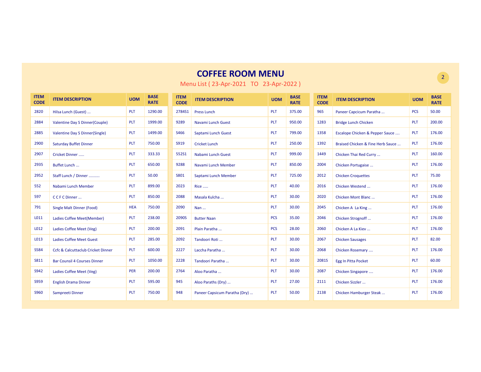| <b>ITEM</b><br><b>CODE</b> | <b>ITEM DESCRIPTION</b>             | <b>UOM</b> | <b>BASE</b><br><b>RATE</b> | <b>ITEM</b><br><b>CODE</b> | <b>ITEM DESCRIPTION</b>       | <b>UOM</b> | <b>BASE</b><br><b>RATE</b> | <b>ITEM</b><br><b>CODE</b> | <b>ITEM DESCRIPTION</b>           | <b>UOM</b> | <b>BASE</b><br><b>RATE</b> |
|----------------------------|-------------------------------------|------------|----------------------------|----------------------------|-------------------------------|------------|----------------------------|----------------------------|-----------------------------------|------------|----------------------------|
| 2820                       | Hilsa Lunch (Guest)                 | <b>PLT</b> | 1290.00                    | 2784S1                     | <b>Press Lunch</b>            | <b>PLT</b> | 375.00                     | 965                        | Paneer Capcicum Paratha           | <b>PCS</b> | 50.00                      |
| 2884                       | Valentine Day S Dinner(Couple)      | <b>PLT</b> | 1999.00                    | 9289                       | Navami Lunch Guest            | <b>PLT</b> | 950.00                     | 1283                       | <b>Bridge Lunch Chicken</b>       | <b>PLT</b> | 200.00                     |
| 2885                       | Valentine Day S Dinner(Single)      | <b>PLT</b> | 1499.00                    | S466                       | Saptami Lunch Guest           | <b>PLT</b> | 799.00                     | 1358                       | Escalope Chicken & Pepper Sauce   | <b>PLT</b> | 176.00                     |
| 2900                       | <b>Saturday Buffet Dinner</b>       | <b>PLT</b> | 750.00                     | S919                       | <b>Cricket Lunch</b>          | <b>PLT</b> | 250.00                     | 1392                       | Braised Chicken & Fine Herb Sauce | <b>PLT</b> | 176.00                     |
| 2907                       | Cricket Dinner                      | PLT        | 333.33                     | 552S1                      | Nabami Lunch Guest            | PLT        | 999.00                     | 1449                       | Chicken Thai Red Curry            | PLT        | 160.00                     |
| 2935                       | Buffet Lunch                        | <b>PLT</b> | 650.00                     | 9288                       | Navami Lunch Member           | PLT        | 850.00                     | 2004                       | Chicken Portugaise                | PLT        | 176.00                     |
| 2952                       | Staff Lunch / Dinner                | <b>PLT</b> | 50.00                      | S801                       | Saptami Lunch Member          | <b>PLT</b> | 725.00                     | 2012                       | <b>Chicken Croquettes</b>         | <b>PLT</b> | 75.00                      |
| 552                        | Nabami Lunch Member                 | <b>PLT</b> | 899.00                     | 2023                       | <b>Rice </b>                  | <b>PLT</b> | 40.00                      | 2016                       | Chicken Westend                   | <b>PLT</b> | 176.00                     |
| 597                        | CCFCDinner                          | <b>PLT</b> | 850.00                     | 2088                       | Masala Kulcha                 | <b>PLT</b> | 30.00                      | 2020                       | Chicken Mont Blanc                | PLT        | 176.00                     |
| 791                        | Single Malt Dinner (Food)           | <b>HEA</b> | 750.00                     | 2090                       | Nan                           | PLT        | 30.00                      | 2045                       | Chicken A La King                 | PLT        | 176.00                     |
| L011                       | Ladies Coffee Meet(Member)          | <b>PLT</b> | 238.00                     | 2090S                      | <b>Butter Naan</b>            | <b>PCS</b> | 35.00                      | 2046                       | Chicken Strognoff                 | <b>PLT</b> | 176.00                     |
| L012                       | Ladies Coffee Meet (Veg)            | <b>PLT</b> | 200.00                     | 2091                       | Plain Paratha                 | <b>PCS</b> | 28.00                      | 2060                       | Chicken A La Kiev                 | <b>PLT</b> | 176.00                     |
| L013                       | <b>Ladies Coffee Meet Guest</b>     | <b>PLT</b> | 285.00                     | 2092                       | Tandoori Roti                 | PLT        | 30.00                      | 2067                       | <b>Chicken Sausages</b>           | <b>PLT</b> | 82.00                      |
| <b>S584</b>                | Ccfc & Calcuttaclub Cricket Dinner  | <b>PLT</b> | 600.00                     | 2227                       | Laccha Paratha                | <b>PLT</b> | 30.00                      | 2068                       | Chicken Rosemary                  | <b>PLT</b> | 176.00                     |
| S811                       | <b>Bar Counsil 4 Courses Dinner</b> | <b>PLT</b> | 1050.00                    | 2228                       | Tandoori Paratha              | <b>PLT</b> | 30.00                      | 2081S                      | <b>Egg In Pitta Pocket</b>        | <b>PLT</b> | 60.00                      |
| S942                       | Ladies Coffee Meet (Veg)            | PER        | 200.00                     | 2764                       | Aloo Paratha                  | <b>PLT</b> | 30.00                      | 2087                       | Chicken Singapore                 | PLT        | 176.00                     |
| <b>S959</b>                | <b>English Drama Dinner</b>         | <b>PLT</b> | 595.00                     | 945                        | Aloo Paraths (Dry)            | PLT        | 27.00                      | 2111                       | Chicken Sizzler                   | PLT        | 176.00                     |
| S960                       | Sampreeti Dinner                    | <b>PLT</b> | 750.00                     | 948                        | Paneer Capsicum Paratha (Dry) | <b>PLT</b> | 50.00                      | 2138                       | Chicken Hamburger Steak           | <b>PLT</b> | 176.00                     |

Menu List ( 23-Apr-2021 TO 23-Apr-2022 )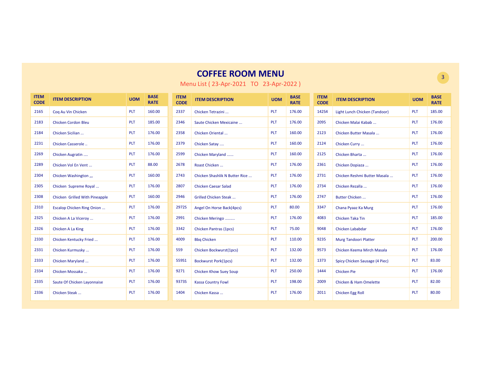| <b>ITEM</b><br><b>CODE</b> | <b>ITEM DESCRIPTION</b>            | <b>UOM</b> | <b>BASE</b><br><b>RATE</b> | <b>ITEM</b><br><b>CODE</b> | <b>ITEM DESCRIPTION</b>        | <b>UOM</b> | <b>BASE</b><br><b>RATE</b> | <b>ITEM</b><br><b>CODE</b> | <b>ITEM DESCRIPTION</b>        | <b>UOM</b> | <b>BASE</b><br><b>RATE</b> |
|----------------------------|------------------------------------|------------|----------------------------|----------------------------|--------------------------------|------------|----------------------------|----------------------------|--------------------------------|------------|----------------------------|
| 2165                       | Cog Au Vin Chicken                 | <b>PLT</b> | 160.00                     | 2337                       | Chicken Tetrazini              | <b>PLT</b> | 176.00                     | 142S4                      | Light Lunch Chicken (Tandoor)  | <b>PLT</b> | 185.00                     |
| 2183                       | <b>Chicken Cordon Bleu</b>         | <b>PLT</b> | 185.00                     | 2346                       | Saute Chicken Mexicaine        | PLT        | 176.00                     | 2095                       | Chicken Malai Kabab            | <b>PLT</b> | 176.00                     |
| 2184                       | Chicken Sicilian                   | <b>PLT</b> | 176.00                     | 2358                       | Chicken Oriental               | <b>PLT</b> | 160.00                     | 2123                       | Chicken Butter Masala          | <b>PLT</b> | 176.00                     |
| 2231                       | Chicken Casserole                  | PLT        | 176.00                     | 2379                       | Chicken Satay                  | PLT        | 160.00                     | 2124                       | Chicken Curry                  | PLT        | 176.00                     |
| 2269                       | Chicken Augratin                   | PLT        | 176.00                     | 2599                       | Chicken Maryland               | PLT        | 160.00                     | 2125                       | Chicken Bharta                 | PLT        | 176.00                     |
| 2289                       | Chicken Vol En Vent                | PLT        | 88.00                      | 2678                       | Roast Chicken                  | <b>PLT</b> | 176.00                     | 2361                       | Chicken Dopiaza                | <b>PLT</b> | 176.00                     |
| 2304                       | Chicken Washington ,,,             | PLT        | 160.00                     | 2743                       | Chicken Shashlik N Butter Rice | PLT        | 176.00                     | 2731                       | Chicken Reshmi Butter Masala   | <b>PLT</b> | 176.00                     |
| 2305                       | Chicken Supreme Royal              | <b>PLT</b> | 176.00                     | 2807                       | <b>Chicken Caesar Salad</b>    | <b>PLT</b> | 176.00                     | 2734                       | Chicken Rezalla                | <b>PLT</b> | 176.00                     |
| 2308                       | Chicken Grilled With Pineapple     | <b>PLT</b> | 160.00                     | 2946                       | <b>Grilled Chicken Steak</b>   | <b>PLT</b> | 176.00                     | 2747                       | Butter Chicken                 | <b>PLT</b> | 176.00                     |
| 2310                       | <b>Escalop Chicken Ring Onion </b> | PLT        | 176.00                     | 2972S                      | Angel On Horse Back(4pcs)      | <b>PLT</b> | 80.00                      | 3347                       | Chana Pyaaz Ka Murg            | <b>PLT</b> | 176.00                     |
| 2325                       | Chicken A La Viceroy               | PLT        | 176.00                     | 2991                       | Chicken Meringo                | <b>PLT</b> | 176.00                     | 4083                       | Chicken Taka Tin               | <b>PLT</b> | 185.00                     |
| 2326                       | Chicken A La King                  | <b>PLT</b> | 176.00                     | 3342                       | Chicken Pantras (1pcs)         | PLT        | 75.00                      | 9048                       | Chicken Lababdar               | PLT        | 176.00                     |
| 2330                       | Chicken Kentucky Fried             | PLT        | 176.00                     | 4009                       | <b>Bbg Chicken</b>             | <b>PLT</b> | 110.00                     | 9235                       | <b>Murg Tandoori Platter</b>   | PLT        | 200.00                     |
| 2331                       | Chicken Kurmusky                   | PLT        | 176.00                     | 559                        | Chicken Bockwurst(1pcs)        | PLT        | 132.00                     | 9573                       | Chicken Keema Mirch Masala     | PLT        | 176.00                     |
| 2333                       | Chicken Maryland                   | PLT        | 176.00                     | 559S1                      | <b>Bockwurst Pork(1pcs)</b>    | <b>PLT</b> | 132.00                     | 1373                       | Spicy Chicken Sausage (4 Piec) | PLT        | 83.00                      |
| 2334                       | Chicken Mossaka                    | <b>PLT</b> | 176.00                     | 9271                       | <b>Chicken Khow Suey Soup</b>  | <b>PLT</b> | 250.00                     | 1444                       | <b>Chicken Pie</b>             | <b>PLT</b> | 176.00                     |
| 2335                       | Saute Of Chicken Layonnaise        | <b>PLT</b> | 176.00                     | 9373S                      | <b>Kassa Country Fowl</b>      | <b>PLT</b> | 198.00                     | 2009                       | Chicken & Ham Omelette         | <b>PLT</b> | 82.00                      |
| 2336                       | Chicken Steak                      | <b>PLT</b> | 176.00                     | 1404                       | Chicken Kassa                  | <b>PLT</b> | 176.00                     | 2011                       | Chicken Egg Roll               | <b>PLT</b> | 80.00                      |

Menu List ( 23-Apr-2021 TO 23-Apr-2022 )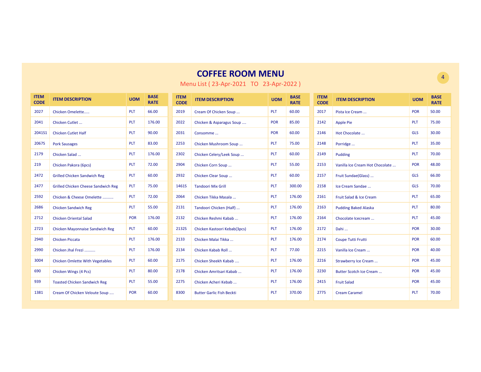| <b>ITEM</b><br><b>CODE</b> | <b>ITEM DESCRIPTION</b>                    | <b>UOM</b> | <b>BASE</b><br><b>RATE</b> | <b>ITEM</b><br><b>CODE</b> | <b>ITEM DESCRIPTION</b>          | <b>UOM</b> | <b>BASE</b><br><b>RATE</b> | <b>ITEM</b><br><b>CODE</b> | <b>ITEM DESCRIPTION</b>         | <b>UOM</b> | <b>BASE</b><br><b>RATE</b> |
|----------------------------|--------------------------------------------|------------|----------------------------|----------------------------|----------------------------------|------------|----------------------------|----------------------------|---------------------------------|------------|----------------------------|
| 2027                       | Chicken Omelette                           | PLT        | 66.00                      | 2019                       | Cream Of Chicken Soup            | <b>PLT</b> | 60.00                      | 2017                       | Pista Ice Cream                 | POR        | 50.00                      |
| 2041                       | Chicken Cutlet                             | PLT        | 176.00                     | 2022                       | Chicken & Asparagus Soup         | <b>POR</b> | 85.00                      | 2142                       | <b>Apple Pie</b>                | <b>PLT</b> | 75.00                      |
| 2041S1                     | <b>Chicken Cutlet Half</b>                 | PLT        | 90.00                      | 2031                       | Consomme                         | <b>POR</b> | 60.00                      | 2146                       | Hot Chocolate                   | <b>GLS</b> | 30.00                      |
| 2067S                      | <b>Pork Sausages</b>                       | PLT        | 83.00                      | 2253                       | Chicken Mushroom Soup            | <b>PLT</b> | 75.00                      | 2148                       | Porridge                        | <b>PLT</b> | 35.00                      |
| 2179                       | Chicken Salad                              | PLT        | 176.00                     | 2302                       | Chicken Celery/Leek Soup         | <b>PLT</b> | 60.00                      | 2149                       | Pudding                         | <b>PLT</b> | 70.00                      |
| 219                        | Chicken Pakora (6pcs)                      | PLT        | 72.00                      | 2904                       | Chicken Corn Soup                | <b>PLT</b> | 55.00                      | 2153                       | Vanilla Ice Cream Hot Chocolate | POR        | 48.00                      |
| 2472                       | <b>Grilled Chicken Sandwich Reg</b>        | PLT        | 60.00                      | 2932                       | Chicken Clear Soup               | <b>PLT</b> | 60.00                      | 2157                       | Fruit Sundae(Glass)             | <b>GLS</b> | 66.00                      |
| 2477                       | <b>Grilled Chicken Cheese Sandwich Reg</b> | PLT        | 75.00                      | 1461S                      | <b>Tandoori Mix Grill</b>        | <b>PLT</b> | 300.00                     | 2158                       | Ice Cream Sandae                | <b>GLS</b> | 70.00                      |
| 2592                       | Chicken & Cheese Omelette                  | PLT        | 72.00                      | 2064                       | Chicken Tikka Masala             | PLT        | 176.00                     | 2161                       | Fruit Salad & Ice Cream         | PLT        | 65.00                      |
| 2686                       | <b>Chicken Sandwich Reg</b>                | PLT        | 55.00                      | 2131                       | Tandoori Chicken (Half)          | <b>PLT</b> | 176.00                     | 2163                       | <b>Pudding Baked Alaska</b>     | <b>PLT</b> | 80.00                      |
| 2712                       | <b>Chicken Oriental Salad</b>              | <b>POR</b> | 176.00                     | 2132                       | Chicken Reshmi Kabab             | <b>PLT</b> | 176.00                     | 2164                       | Chocolate Icecream              | <b>PLT</b> | 45.00                      |
| 2723                       | <b>Chicken Mayonnaise Sandwich Reg</b>     | PLT        | 60.00                      | 2132S                      | Chicken Kastoori Kebab(3pcs)     | <b>PLT</b> | 176.00                     | 2172                       | Dahi                            | <b>POR</b> | 30.00                      |
| 2940                       | <b>Chicken Piccata</b>                     | PLT        | 176.00                     | 2133                       | Chicken Malai Tikka              | <b>PLT</b> | 176.00                     | 2174                       | <b>Coupe Tutti Frutti</b>       | <b>POR</b> | 60.00                      |
| 2990                       | Chicken Jhal Frezi                         | PLT        | 176.00                     | 2134                       | Chicken Kabab Roll               | <b>PLT</b> | 77.00                      | 2215                       | Vanilla Ice Cream               | POR        | 40.00                      |
| 3004                       | <b>Chicken Omlette With Vegetables</b>     | PLT        | 60.00                      | 2175                       | Chicken Sheekh Kabab             | <b>PLT</b> | 176.00                     | 2216                       | Strawberry Ice Cream            | POR        | 45.00                      |
| 690                        | Chicken Wings (4 Pcs)                      | PLT        | 80.00                      | 2178                       | Chicken Amritsari Kabab          | <b>PLT</b> | 176.00                     | 2230                       | Butter Scotch Ice Cream         | POR        | 45.00                      |
| 939                        | <b>Toasted Chicken Sandwich Reg</b>        | PLT        | 55.00                      | 2275                       | Chicken Acheri Kebab             | <b>PLT</b> | 176.00                     | 2415                       | <b>Fruit Salad</b>              | POR        | 45.00                      |
| 1381                       | Cream Of Chicken Veloute Soup              | <b>POR</b> | 60.00                      | 8300                       | <b>Butter Garlic Fish Beckti</b> | <b>PLT</b> | 370.00                     | 2775                       | <b>Cream Caramel</b>            | <b>PLT</b> | 70.00                      |

Menu List ( 23-Apr-2021 TO 23-Apr-2022 )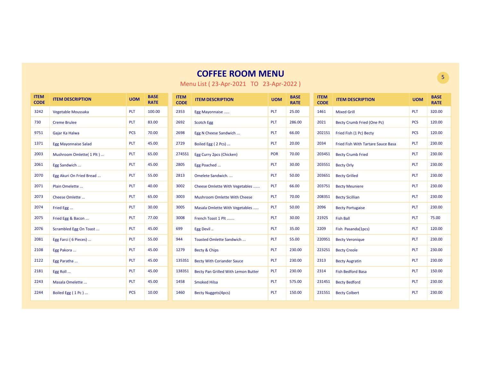| <b>ITEM</b><br><b>CODE</b> | <b>ITEM DESCRIPTION</b>     | <b>UOM</b> | <b>BASE</b><br><b>RATE</b> | <b>ITEM</b><br><b>CODE</b> | <b>ITEM DESCRIPTION</b>             | <b>UOM</b> | <b>BASE</b><br><b>RATE</b> | <b>ITEM</b><br><b>CODE</b> | <b>ITEM DESCRIPTION</b>            | <b>UOM</b> | <b>BASE</b><br><b>RATE</b> |
|----------------------------|-----------------------------|------------|----------------------------|----------------------------|-------------------------------------|------------|----------------------------|----------------------------|------------------------------------|------------|----------------------------|
| 3242                       | Vegetable Moussaka          | <b>PLT</b> | 100.00                     | 2353                       | Egg Mayonnaise                      | PLT        | 25.00                      | 1461                       | <b>Mixed Grill</b>                 | PLT        | 320.00                     |
| 730                        | <b>Creme Brulee</b>         | <b>PLT</b> | 83.00                      | 2692                       | <b>Scotch Egg</b>                   | <b>PLT</b> | 286.00                     | 2021                       | Becty Crumb Fried (One Pc)         | <b>PCS</b> | 120.00                     |
| 9751                       | Gajar Ka Halwa              | <b>PCS</b> | 70.00                      | 2698                       | Egg N Cheese Sandwich               | PLT        | 66.00                      | 202151                     | Fried Fish (1 Pc) Becty            | <b>PCS</b> | 120.00                     |
| 1371                       | <b>Egg Mayonnaise Salad</b> | <b>PLT</b> | 45.00                      | 2729                       | Boiled Egg (2 Pcs)                  | PLT        | 20.00                      | 2034                       | Fried Fish With Tartare Sauce Basa | PLT        | 230.00                     |
| 2003                       | Mushroom Omlette( 1 Plt )   | <b>PLT</b> | 65.00                      | 2745S1                     | Egg Curry 2pcs (Chicken)            | <b>POR</b> | 70.00                      | 2034S1                     | <b>Becty Crumb Fried</b>           | <b>PLT</b> | 230.00                     |
| 2061                       | Egg Sandwich                | <b>PLT</b> | 45.00                      | 2805                       | Egg Poached                         | <b>PLT</b> | 30.00                      | 203551                     | <b>Becty Orly</b>                  | <b>PLT</b> | 230.00                     |
| 2070                       | Egg Akuri On Fried Bread    | <b>PLT</b> | 55.00                      | 2813                       | Omelete Sandwich.                   | <b>PLT</b> | 50.00                      | 2036S1                     | <b>Becty Grilled</b>               | <b>PLT</b> | 230.00                     |
| 2071                       | Plain Omelette              | <b>PLT</b> | 40.00                      | 3002                       | Cheese Omlette With Vegetables      | <b>PLT</b> | 66.00                      | 2037S1                     | <b>Becty Meuniere</b>              | PLT        | 230.00                     |
| 2073                       | Cheese Omlette              | <b>PLT</b> | 65.00                      | 3003                       | <b>Mushroom Omlette With Cheese</b> | <b>PLT</b> | 70.00                      | 2083S1                     | <b>Becty Sicillian</b>             | PLT        | 230.00                     |
| 2074                       | Fried Egg                   | <b>PLT</b> | 30.00                      | 3005                       | Masala Omlette With Vegetables      | <b>PLT</b> | 50.00                      | 2096                       | <b>Becty Portugaise</b>            | <b>PLT</b> | 230.00                     |
| 2075                       | Fried Egg & Bacon           | <b>PLT</b> | 77.00                      | 3008                       | French Toast 1 Plt                  | <b>PLT</b> | 30.00                      | 2192S                      | <b>Fish Ball</b>                   | <b>PLT</b> | 75.00                      |
| 2076                       | Scrambled Egg On Toast      | <b>PLT</b> | 45.00                      | 699                        | Egg Devil                           | <b>PLT</b> | 35.00                      | 2209                       | Fish Pasanda(1pcs)                 | <b>PLT</b> | 120.00                     |
| 2081                       | Egg Farci (6 Pieces)        | <b>PLT</b> | 55.00                      | 944                        | Toasted Omlette Sandwich            | <b>PLT</b> | 55.00                      | 2209S1                     | <b>Becty Veronique</b>             | <b>PLT</b> | 230.00                     |
| 2108                       | Egg Pakora                  | <b>PLT</b> | 45.00                      | 1279                       | Becty & Chips                       | <b>PLT</b> | 230.00                     | 2232S1                     | <b>Becty Creole</b>                | PLT        | 230.00                     |
| 2122                       | Egg Paratha                 | <b>PLT</b> | 45.00                      | 1353S1                     | <b>Becty With Coriander Sauce</b>   | <b>PLT</b> | 230.00                     | 2313                       | <b>Becty Augratin</b>              | PLT        | 230.00                     |
| 2181                       | Egg Roll                    | PLT        | 45.00                      | 1383S1                     | Becty Pan Grilled With Lemon Butter | PLT        | 230.00                     | 2314                       | <b>Fish Bedford Basa</b>           | PLT        | 150.00                     |
| 2243                       | Masala Omelette             | <b>PLT</b> | 45.00                      | 1458                       | <b>Smoked Hilsa</b>                 | <b>PLT</b> | 575.00                     | 2314S1                     | <b>Becty Bedford</b>               | <b>PLT</b> | 230.00                     |
| 2244                       | Boiled Egg (1Pc)            | <b>PCS</b> | 10.00                      | 1460                       | <b>Becty Nuggets(4pcs)</b>          | <b>PLT</b> | 150.00                     | 2315S1                     | <b>Becty Colbert</b>               | PLT        | 230.00                     |

Menu List ( 23-Apr-2021 TO 23-Apr-2022 )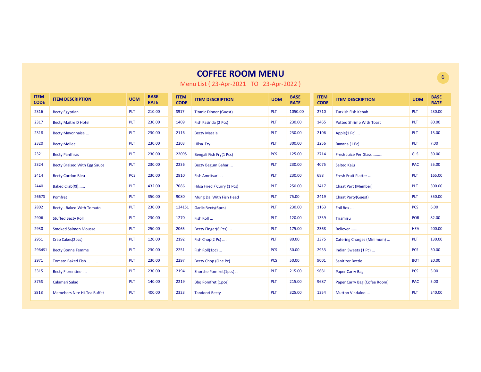| <b>ITEM</b><br><b>CODE</b> | <b>ITEM DESCRIPTION</b>             | <b>UOM</b> | <b>BASE</b><br><b>RATE</b> | <b>ITEM</b><br><b>CODE</b> | <b>ITEM DESCRIPTION</b>       | <b>UOM</b> | <b>BASE</b><br><b>RATE</b> | <b>ITEM</b><br><b>CODE</b> | <b>ITEM DESCRIPTION</b>         | <b>UOM</b> | <b>BASE</b><br><b>RATE</b> |
|----------------------------|-------------------------------------|------------|----------------------------|----------------------------|-------------------------------|------------|----------------------------|----------------------------|---------------------------------|------------|----------------------------|
| 2316                       | <b>Becty Egyptian</b>               | <b>PLT</b> | 210.00                     | S917                       | <b>Titanic Dinner (Guest)</b> | <b>PLT</b> | 1050.00                    | 2710                       | <b>Turkish Fish Kebab</b>       | <b>PLT</b> | 230.00                     |
| 2317                       | <b>Becty Maitre D Hotel</b>         | <b>PLT</b> | 230.00                     | 1409                       | Fish Pasinda (2 Pcs)          | <b>PLT</b> | 230.00                     | 1465                       | <b>Potted Shrimp With Toast</b> | <b>PLT</b> | 80.00                      |
| 2318                       | <b>Becty Mayonnaise </b>            | <b>PLT</b> | 230.00                     | 2116                       | <b>Becty Masala</b>           | <b>PLT</b> | 230.00                     | 2106                       | Apple $(1$ Pc $)$               | <b>PLT</b> | 15.00                      |
| 2320                       | <b>Becty Moilee</b>                 | <b>PLT</b> | 230.00                     | 2203                       | Hilsa Fry                     | <b>PLT</b> | 300.00                     | 2256                       | Banana (1 Pc)                   | <b>PLT</b> | 7.00                       |
| 2321                       | <b>Becty Panthras</b>               | <b>PLT</b> | 230.00                     | 2209S                      | Bengali Fish Fry(1 Pcs)       | <b>PCS</b> | 125.00                     | 2714                       | Fresh Juice Per Glass           | <b>GLS</b> | 30.00                      |
| 2324                       | <b>Becty Braised With Egg Sauce</b> | <b>PLT</b> | 230.00                     | 2236                       | Becty Begum Bahar             | <b>PLT</b> | 230.00                     | 4075                       | <b>Salted Kaju</b>              | <b>PAC</b> | 55.00                      |
| 2414                       | <b>Becty Cordon Bleu</b>            | <b>PCS</b> | 230.00                     | 2810                       | Fish Amritsari                | <b>PLT</b> | 230.00                     | 688                        | Fresh Fruit Platter             | PLT        | 165.00                     |
| 2440                       | Baked Crab(XI)                      | <b>PLT</b> | 432.00                     | 7086                       | Hilsa Fried / Curry (1 Pcs)   | <b>PLT</b> | 250.00                     | 2417                       | <b>Chaat Part (Member)</b>      | PLT        | 300.00                     |
| 2667S                      | Pomfret                             | <b>PLT</b> | 350.00                     | 9080                       | Mung Dal With Fish Head       | <b>PLT</b> | 75.00                      | 2419                       | <b>Chaat Party(Guest)</b>       | <b>PLT</b> | 350.00                     |
| 2802                       | <b>Becty - Baked With Tomato</b>    | <b>PLT</b> | 230.00                     | 1241S1                     | Garlic Becty(6pcs)            | <b>PLT</b> | 230.00                     | 1163                       | Foil Box                        | <b>PCS</b> | 6.00                       |
| 2906                       | <b>Stuffed Becty Roll</b>           | <b>PLT</b> | 230.00                     | 1270                       | Fish Roll                     | <b>PLT</b> | 120.00                     | 1359                       | Tiramisu                        | <b>POR</b> | 82.00                      |
| 2930                       | <b>Smoked Salmon Mousse</b>         | <b>PLT</b> | 250.00                     | 2065                       | Becty Finger(6 Pcs)           | <b>PLT</b> | 175.00                     | 2368                       | Reliever                        | <b>HEA</b> | 200.00                     |
| 2951                       | Crab Cakes(2pcs)                    | <b>PLT</b> | 120.00                     | 2192                       | Fish Chop(2 Pc)               | PLT        | 80.00                      | 2375                       | Catering Charges (Minimum)      | PLT        | 130.00                     |
| 2964S1                     | <b>Becty Bonne Femme</b>            | <b>PLT</b> | 230.00                     | 2251                       | Fish Roll(1pc)                | <b>PCS</b> | 50.00                      | 2933                       | Indian Sweets (1 Pc)            | <b>PCS</b> | 30.00                      |
| 2971                       | Tomato Baked Fish                   | <b>PLT</b> | 230.00                     | 2297                       | Becty Chop (One Pc)           | <b>PCS</b> | 50.00                      | 9001                       | <b>Sanitizer Bottle</b>         | <b>BOT</b> | 20.00                      |
| 3315                       | <b>Becty Florentine</b>             | PLT        | 230.00                     | 2194                       | Shorshe Pomfret(1pcs)         | <b>PLT</b> | 215.00                     | 9681                       | <b>Paper Carry Bag</b>          | <b>PCS</b> | 5.00                       |
| 875S                       | Calamari Salad                      | <b>PLT</b> | 140.00                     | 2219                       | <b>Bbq Pomfret (1pce)</b>     | <b>PLT</b> | 215.00                     | 9687                       | Paper Carry Bag (Cofee Room)    | <b>PAC</b> | 5.00                       |
| <b>S818</b>                | <b>Memebers Nite Hi-Tea Buffet</b>  | <b>PLT</b> | 400.00                     | 2323                       | <b>Tandoori Becty</b>         | <b>PLT</b> | 325.00                     | 1354                       | <b>Mutton Vindaloo </b>         | <b>PLT</b> | 240.00                     |

Menu List ( 23-Apr-2021 TO 23-Apr-2022 )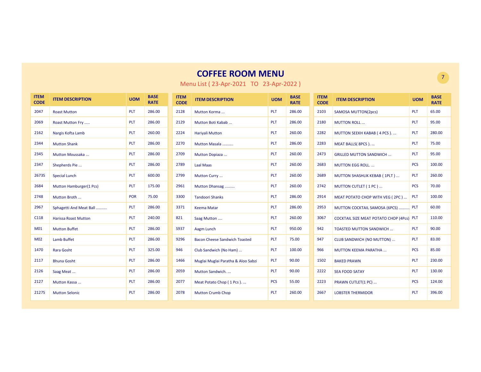| <b>ITEM</b><br><b>CODE</b> | <b>ITEM DESCRIPTION</b>     | <b>UOM</b> | <b>BASE</b><br><b>RATE</b> | <b>ITEM</b><br><b>CODE</b> | <b>ITEM DESCRIPTION</b>              | <b>UOM</b> | <b>BASE</b><br><b>RATE</b> | <b>ITEM</b><br><b>CODE</b> | <b>ITEM DESCRIPTION</b>                          | <b>UOM</b> | <b>BASE</b><br><b>RATE</b> |
|----------------------------|-----------------------------|------------|----------------------------|----------------------------|--------------------------------------|------------|----------------------------|----------------------------|--------------------------------------------------|------------|----------------------------|
| 2047                       | <b>Roast Mutton</b>         | <b>PLT</b> | 286.00                     | 2128                       | Mutton Korma                         | <b>PLT</b> | 286.00                     | 2103                       | <b>SAMOSA MUTTON(2pcs)</b>                       | <b>PLT</b> | 65.00                      |
| 2069                       | Roast Mutton Fry            | <b>PLT</b> | 286.00                     | 2129                       | Mutton Boti Kabab                    | <b>PLT</b> | 286.00                     | 2180                       | <b>MUTTON ROLL</b>                               | <b>PLT</b> | 95.00                      |
| 2162                       | Nargis Kofta Lamb           | <b>PLT</b> | 260.00                     | 2224                       | <b>Hariyali Mutton</b>               | <b>PLT</b> | 260.00                     | 2282                       | MUTTON SEEKH KABAB (4 PCS)                       | PLT        | 280.00                     |
| 2344                       | <b>Mutton Shank</b>         | <b>PLT</b> | 286.00                     | 2270                       | Mutton Masala                        | PLT        | 286.00                     | 2283                       | MEAT BALLS(8PCS)                                 | PLT        | 75.00                      |
| 2345                       | Mutton Moussaka             | <b>PLT</b> | 286.00                     | 2709                       | Mutton Dopiaza                       | <b>PLT</b> | 260.00                     | 2473                       | <b>GRILLED MUTTON SANDWICH </b>                  | <b>PLT</b> | 95.00                      |
| 2347                       | Shepherds Pie               | <b>PLT</b> | 286.00                     | 2789                       | <b>Laal Maas</b>                     | <b>PLT</b> | 260.00                     | 2683                       | <b>MUTTON EGG ROLL</b>                           | <b>PCS</b> | 100.00                     |
| 2673S                      | <b>Special Lunch</b>        | <b>PLT</b> | 600.00                     | 2799                       | Mutton Curry                         | PLT        | 260.00                     | 2689                       | <b>MUTTON SHASHLIK KEBAB (1PLT)</b>              | PLT        | 260.00                     |
| 2684                       | Mutton Hamburger(1 Pcs)     | <b>PLT</b> | 175.00                     | 2961                       | Mutton Dhansag                       | <b>PLT</b> | 260.00                     | 2742                       | MUTTON CUTLET (1 PC)                             | <b>PCS</b> | 70.00                      |
| 2748                       | Mutton Broth                | <b>POR</b> | 75.00                      | 3300                       | <b>Tandoori Shanks</b>               | <b>PLT</b> | 286.00                     | 2914                       | MEAT POTATO CHOP WITH VEG (2PC)                  | <b>PLT</b> | 100.00                     |
| 2967                       | Sphagetti And Meat Ball     | <b>PLT</b> | 286.00                     | 3371                       | <b>Keema Matar</b>                   | <b>PLT</b> | 286.00                     | 2953                       | MUTTON COCKTAIL SAMOSA (6PCS)  PLT               |            | 60.00                      |
| C118                       | <b>Harissa Roast Mutton</b> | <b>PLT</b> | 240.00                     | 821                        | Saag Mutton                          | <b>PLT</b> | 260.00                     | 3067                       | <b>COCKTAIL SIZE MEAT POTATO CHOP (4Pcs) PLT</b> |            | 110.00                     |
| M01                        | <b>Mutton Buffet</b>        | <b>PLT</b> | 286.00                     | S937                       | Aagm Lunch                           | <b>PLT</b> | 950.00                     | 942                        | <b>TOASTED MUTTON SANDWICH</b>                   | <b>PLT</b> | 90.00                      |
| M02                        | <b>Lamb Buffet</b>          | <b>PLT</b> | 286.00                     | 9296                       | <b>Bacon Cheese Sandwich Toasted</b> | <b>PLT</b> | 75.00                      | 947                        | <b>CLUB SANDWICH (NO MUTTON)</b>                 | <b>PLT</b> | 83.00                      |
| 1470                       | Rara Gosht                  | <b>PLT</b> | 325.00                     | 946                        | Club Sandwich (No Ham)               | PLT        | 100.00                     | 966                        | <b>MUTTON KEEMA PARATHA</b>                      | <b>PCS</b> | 85.00                      |
| 2117                       | <b>Bhuna Gosht</b>          | <b>PLT</b> | 286.00                     | 1466                       | Muglai Muglai Paratha & Aloo Sabzi   | <b>PLT</b> | 90.00                      | 1502                       | <b>BAKED PRAWN</b>                               | <b>PLT</b> | 230.00                     |
| 2126                       | Saag Meat                   | <b>PLT</b> | 286.00                     | 2059                       | Mutton Sandwich                      | <b>PLT</b> | 90.00                      | 2222                       | <b>SEA FOOD SATAY</b>                            | <b>PLT</b> | 130.00                     |
| 2127                       | Mutton Kassa                | <b>PLT</b> | 286.00                     | 2077                       | Meat Potato Chop (1 Pcs)             | <b>PCS</b> | 55.00                      | 2223                       | PRAWN CUTLET(1 PC)                               | <b>PCS</b> | 124.00                     |
| <b>2127S</b>               | <b>Mutton Selonic</b>       | PLT        | 286.00                     | 2078                       | <b>Mutton Crumb Chop</b>             | PLT        | 260.00                     | 2667                       | <b>LOBSTER THERMIDOR</b>                         | PLT        | 396.00                     |

Menu List ( 23-Apr-2021 TO 23-Apr-2022 )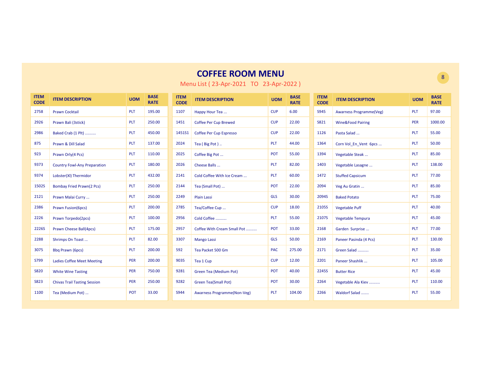| <b>ITEM</b><br><b>CODE</b> | <b>ITEM DESCRIPTION</b>             | <b>UOM</b> | <b>BASE</b><br><b>RATE</b> | <b>ITEM</b><br><b>CODE</b> | <b>ITEM DESCRIPTION</b>        | <b>UOM</b> | <b>BASE</b><br><b>RATE</b> | <b>ITEM</b><br><b>CODE</b> | <b>ITEM DESCRIPTION</b>        | <b>UOM</b> | <b>BASE</b><br><b>RATE</b> |
|----------------------------|-------------------------------------|------------|----------------------------|----------------------------|--------------------------------|------------|----------------------------|----------------------------|--------------------------------|------------|----------------------------|
| 2758                       | <b>Prawn Cocktail</b>               | <b>PLT</b> | 195.00                     | 1107                       | Happy Hour Tea                 | <b>CUP</b> | 6.00                       | <b>S945</b>                | <b>Awarness Programme(Veg)</b> | <b>PLT</b> | 97.00                      |
| 2926                       | Prawn Bali (3stick)                 | <b>PLT</b> | 250.00                     | 1451                       | <b>Coffee Per Cup Brewed</b>   | <b>CUP</b> | 22.00                      | <b>S821</b>                | <b>Wine&amp;Food Pairing</b>   | <b>PER</b> | 1000.00                    |
| 2986                       | Baked Crab (1 Plt)                  | <b>PLT</b> | 450.00                     | 1451S1                     | <b>Coffee Per Cup Espresso</b> | <b>CUP</b> | 22.00                      | 1126                       | Pasta Salad                    | <b>PLT</b> | 55.00                      |
| 875                        | Prawn & Dill Salad                  | <b>PLT</b> | 137.00                     | 2024                       | Tea (Big Pot)                  | <b>PLT</b> | 44.00                      | 1364                       | Corn Vol En Vent 6pcs          | <b>PLT</b> | 50.00                      |
| 923                        | Prawn Orly(4 Pcs)                   | <b>PLT</b> | 110.00                     | 2025                       | Coffee Big Pot                 | POT        | 55.00                      | 1394                       | Vegetable Steak                | PLT        | 85.00                      |
| 9373                       | <b>Country Fowl-Any Preparation</b> | <b>PLT</b> | 180.00                     | 2026                       | Cheese Balls                   | <b>PLT</b> | 82.00                      | 1403                       | Vegetable Lasagne              | <b>PLT</b> | 138.00                     |
| 9374                       | Lobster(XI) Thermidor               | <b>PLT</b> | 432.00                     | 2141                       | Cold Coffee With Ice Cream     | <b>PLT</b> | 60.00                      | 1472                       | <b>Stuffed Capsicum</b>        | <b>PLT</b> | 77.00                      |
| 1502S                      | <b>Bombay Fried Prawn(2 Pcs)</b>    | <b>PLT</b> | 250.00                     | 2144                       | Tea (Small Pot)                | <b>POT</b> | 22.00                      | 2094                       | Veg Au Gratin                  | <b>PLT</b> | 85.00                      |
| 2121                       | Prawn Malai Curry                   | <b>PLT</b> | 250.00                     | 2249                       | <b>Plain Lassi</b>             | <b>GLS</b> | 30.00                      | 2094S                      | <b>Baked Potato</b>            | <b>PLT</b> | 75.00                      |
| 2386                       | <b>Prawn Fusion(6pcs)</b>           | <b>PLT</b> | 200.00                     | 2785                       | Tea/Coffee Cup                 | <b>CUP</b> | 18.00                      | 2105S                      | <b>Vegetable Puff</b>          | <b>PLT</b> | 40.00                      |
| 2226                       | Prawn Torpedo(2pcs)                 | <b>PLT</b> | 100.00                     | 2956                       | Cold Coffee                    | <b>PLT</b> | 55.00                      | 2107S                      | <b>Vegetable Tempura</b>       | <b>PLT</b> | 45.00                      |
| <b>2226S</b>               | Prawn Cheese Ball(4pcs)             | <b>PLT</b> | 175.00                     | 2957                       | Coffee With Cream Small Pot    | <b>POT</b> | 33.00                      | 2168                       | Garden Surprise                | <b>PLT</b> | 77.00                      |
| 2288                       | Shrimps On Toast                    | <b>PLT</b> | 82.00                      | 3307                       | <b>Mango Lassi</b>             | <b>GLS</b> | 50.00                      | 2169                       | Paneer Pasinda (4 Pcs)         | <b>PLT</b> | 130.00                     |
| 3075                       | <b>Bbq Prawn (6pcs)</b>             | <b>PLT</b> | 200.00                     | 592                        | Tea Packet 500 Gm              | <b>PAC</b> | 275.00                     | 2171                       | Green Salad                    | PLT        | 35.00                      |
| S799                       | <b>Ladies Coffee Meet Meeting</b>   | PER        | 200.00                     | 9035                       | Tea 1 Cup                      | <b>CUP</b> | 12.00                      | 2201                       | Paneer Shashlik                | PLT        | 105.00                     |
| <b>S820</b>                | <b>White Wine Tasting</b>           | <b>PER</b> | 750.00                     | 9281                       | Green Tea (Medium Pot)         | <b>POT</b> | 40.00                      | 2245S                      | <b>Butter Rice</b>             | <b>PLT</b> | 45.00                      |
| <b>S823</b>                | <b>Chivas Trail Tasting Session</b> | PER        | 250.00                     | 9282                       | <b>Green Tea(Small Pot)</b>    | POT        | 30.00                      | 2264                       | Vegetable Ala Kiev             | PLT        | 110.00                     |
| 1100                       | Tea (Medium Pot)                    | <b>POT</b> | 33.00                      | S944                       | Awarness Programme(Non-Veg)    | <b>PLT</b> | 104.00                     | 2266                       | Waldorf Salad                  | PLT        | 55.00                      |

Menu List ( 23-Apr-2021 TO 23-Apr-2022 )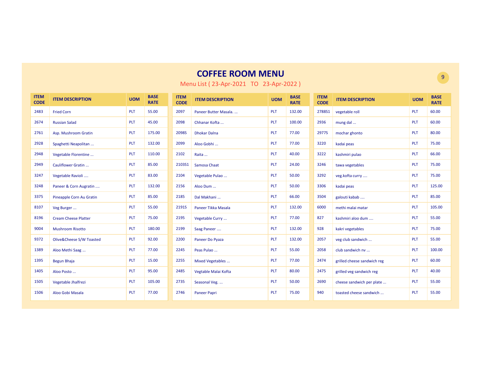| <b>ITEM</b><br><b>CODE</b> | <b>ITEM DESCRIPTION</b>     | <b>UOM</b> | <b>BASE</b><br><b>RATE</b> | <b>ITEM</b><br><b>CODE</b> | <b>ITEM DESCRIPTION</b> | <b>UOM</b> | <b>BASE</b><br><b>RATE</b> | <b>ITEM</b><br><b>CODE</b> | <b>ITEM DESCRIPTION</b>     | <b>UOM</b> | <b>BASE</b><br><b>RATE</b> |
|----------------------------|-----------------------------|------------|----------------------------|----------------------------|-------------------------|------------|----------------------------|----------------------------|-----------------------------|------------|----------------------------|
| 2483                       | <b>Fried Corn</b>           | <b>PLT</b> | 55.00                      | 2097                       | Paneer Butter Masala    | PLT        | 132.00                     | 2788S1                     | vegetable roll              | PLT        | 60.00                      |
| 2674                       | <b>Russian Salad</b>        | <b>PLT</b> | 45.00                      | 2098                       | Chhanar Kofta           | PLT        | 100.00                     | 2936                       | mung dal                    | PLT        | 60.00                      |
| 2761                       | Asp. Mushroom Gratin        | <b>PLT</b> | 175.00                     | 2098S                      | <b>Dhokar Dalna</b>     | PLT        | 77.00                      | 2977S                      | mochar ghonto               | PLT        | 80.00                      |
| 2928                       | Spaghetti Neapolitan        | <b>PLT</b> | 132.00                     | 2099                       | Aloo Gobhi              | PLT        | 77.00                      | 3220                       | kadai peas                  | PLT        | 75.00                      |
| 2948                       | Vegetable Florentine        | <b>PLT</b> | 110.00                     | 2102                       | Raita                   | PLT        | 40.00                      | 3222                       | kashmiri pulao              | PLT        | 66.00                      |
| 2949                       | Cauliflower Gratin          | <b>PLT</b> | 85.00                      | 2103S1                     | Samosa Chaat            | PLT        | 24.00                      | 3246                       | tawa vegetables             | PLT        | 75.00                      |
| 3247                       | Vegetable Ravioli           | <b>PLT</b> | 83.00                      | 2104                       | Vegetable Pulao         | PLT        | 50.00                      | 3292                       | veg.kofta curry             | PLT        | 75.00                      |
| 3248                       | Paneer & Corn Augratin      | <b>PLT</b> | 132.00                     | 2156                       | Aloo Dum                | PLT        | 50.00                      | 3306                       | kadai peas                  | <b>PLT</b> | 125.00                     |
| 3375                       | Pineapple Corn Au Gratin    | <b>PLT</b> | 85.00                      | 2185                       | Dal Makhani             | PLT        | 66.00                      | 3504                       | galouti kabab               | PLT        | 85.00                      |
| 8107                       | Veg Burger                  | <b>PLT</b> | 55.00                      | 2191S                      | Paneer Tikka Masala     | <b>PLT</b> | 132.00                     | 6000                       | methi malai matar           | PLT        | 105.00                     |
| 8196                       | <b>Cream Cheese Platter</b> | PLT        | 75.00                      | 2195                       | Vegetable Curry         | PLT        | 77.00                      | 827                        | kashmiri aloo dum           | PLT        | 55.00                      |
| 9004                       | <b>Mushroom Risotto</b>     | <b>PLT</b> | 180.00                     | 2199                       | Saag Paneer             | PLT        | 132.00                     | 928                        | kakri vegetables            | PLT        | 75.00                      |
| 9372                       | Olive&Cheese S/W Toasted    | <b>PLT</b> | 92.00                      | 2200                       | Paneer Do Pyaza         | PLT        | 132.00                     | 2057                       | veg club sandwich           | <b>PLT</b> | 55.00                      |
| 1389                       | Aloo Methi Saag             | <b>PLT</b> | 77.00                      | 2245                       | Peas Pulao              | <b>PLT</b> | 55.00                      | 2058                       | club sandwich nv            | <b>PLT</b> | 100.00                     |
| 1395                       | <b>Begun Bhaja</b>          | <b>PLT</b> | 15.00                      | 2255                       | Mixed Vegetables        | <b>PLT</b> | 77.00                      | 2474                       | grilled cheese sandwich reg | <b>PLT</b> | 60.00                      |
| 1405                       | Aloo Posto                  | <b>PLT</b> | 95.00                      | 2485                       | Vegtable Malai Kofta    | PLT        | 80.00                      | 2475                       | grilled veg sandwich reg    | PLT        | 40.00                      |
| 1505                       | Vegetable Jhalfrezi         | <b>PLT</b> | 105.00                     | 2735                       | Seasonal Veg.           | <b>PLT</b> | 50.00                      | 2690                       | cheese sandwich per plate   | <b>PLT</b> | 55.00                      |
| 1506                       | Aloo Gobi Masala            | <b>PLT</b> | 77.00                      | 2746                       | <b>Paneer Papri</b>     | PLT        | 75.00                      | 940                        | toasted cheese sandwich     | PLT        | 55.00                      |

Menu List ( 23-Apr-2021 TO 23-Apr-2022 )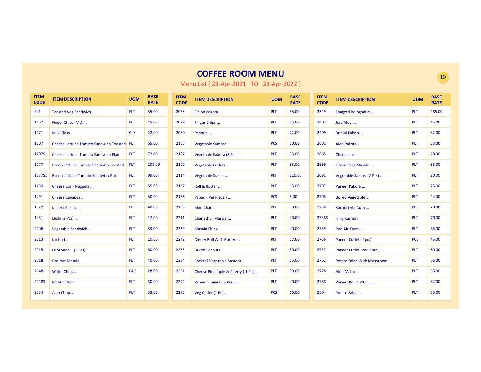| <b>ITEM</b><br><b>CODE</b> | <b>ITEM DESCRIPTION</b>                       | <b>UOM</b> | <b>BASE</b><br><b>RATE</b> | <b>ITEM</b><br><b>CODE</b> | <b>ITEM DESCRIPTION</b>           | <b>UOM</b> | <b>BASE</b><br><b>RATE</b> | <b>ITEM</b><br><b>CODE</b> | <b>ITEM DESCRIPTION</b>    | <b>UOM</b> | <b>BASE</b><br><b>RATE</b> |
|----------------------------|-----------------------------------------------|------------|----------------------------|----------------------------|-----------------------------------|------------|----------------------------|----------------------------|----------------------------|------------|----------------------------|
| 941                        | Toasted Veg Sandwich                          | <b>PLT</b> | 35.00                      | 2063                       | Onion Pakora                      | <b>PLT</b> | 35.00                      | 2349                       | Spagetti Bolognaise        | <b>PLT</b> | 286.00                     |
| 1167                       | Finger Chips (Mc)                             | PLT        | 45.00                      | 2079                       | Finger Chips                      | <b>PLT</b> | 35.00                      | 2403                       | Jera Aloo                  | <b>PLT</b> | 45.00                      |
| 1171                       | <b>Milk Glass</b>                             | <b>GLS</b> | 22.00                      | 2080                       | Peanut                            | PLT        | 22.00                      | 2409                       | Brinjal Pakora             | PLT        | 32.00                      |
| 1207                       | <b>Cheese Lettuce Tomato Sandwich Toasted</b> | <b>PLT</b> | 65.00                      | 2105                       | Vegetable Samosa                  | <b>PCS</b> | 10.00                      | 2601                       | Aloo Pakora                | PLT        | 33.00                      |
| 1207S1                     | Cheese Lettuce Tomato Sandwich Plain          | PLT        | 72.00                      | 2107                       | Vegetable Pakora (8 Pcs)          | <b>PLT</b> | 35.00                      | 2665                       | Chanachur                  | <b>PLT</b> | 28.00                      |
| 1277                       | <b>Bacon Lettuce Tomato Sandwich Toasted</b>  | PLT        | 102.00                     | 2109                       | Vegetable Cutlets                 | <b>PLT</b> | 33.00                      | 2669                       | Green Peas Masala          | <b>PLT</b> | 55.00                      |
| 1277S1                     | Bacon Lettuce Tomato Sandwich Plain           | PLT        | 99.00                      | 2114                       | Vegetable Sizzler                 | <b>PLT</b> | 110.00                     | 2691                       | Vegetable Samosa(2 Pcs)    | <b>PLT</b> | 20.00                      |
| 1290                       | Cheese Corn Nuggets                           | PLT        | 55.00                      | 2137                       | Roll & Butter                     | PLT        | 15.00                      | 2707                       | Paneer Pakora              | PLT        | 75.00                      |
| 1291                       | Cheese Canapes                                | PLT        | 50.00                      | 2166                       | Papad (Per Piece)                 | <b>PCS</b> | 5.00                       | 2708                       | <b>Boiled Vegetable </b>   | <b>PLT</b> | 44.00                      |
| 1372                       | Kheera Pakora                                 | PLT        | 40.00                      | 2193                       | Aloo Chat                         | <b>PLT</b> | 33.00                      | 2738                       | Kachori Alu Dum            | <b>PLT</b> | 70.00                      |
| 1431                       | Luchi (2 Pcs)                                 | PLT        | 17.00                      | 2211                       | Chanachur Masala                  | <b>PLT</b> | 40.00                      | 2738S                      | <b>Hing Kachuri</b>        | <b>PLT</b> | 70.00                      |
| 2006                       | Vegetable Sandwich                            | PLT        | 33.00                      | 2239                       | Masala Chips                      | <b>PLT</b> | 40.00                      | 2739                       | Puri Alu Dum               | <b>PLT</b> | 65.00                      |
| 2013                       | Kachori                                       | PLT        | 10.00                      | 2242                       | Dinner Roll With Butter           | <b>PLT</b> | 17.00                      | 2756                       | Paneer Cutlet (1pc.)       | <b>PCS</b> | 45.00                      |
| 2015                       | Dahi Vada  (2 Pcs)                            | PLT        | 50.00                      | 2273                       | <b>Baked Peanuts </b>             | <b>PLT</b> | 30.00                      | 2757                       | Paneer Cutlet (Per Plate)  | <b>PLT</b> | 80.00                      |
| 2018                       | Pea Nut Masala                                | PLT        | 40.00                      | 2284                       | Cocktail Vegetable Samosa         | <b>PLT</b> | 25.00                      | 2762                       | Potato Salad With Mushroom | <b>PLT</b> | 66.00                      |
| 2048                       | Wafer Chips                                   | <b>PAC</b> | 28.00                      | 2291                       | Cheese Pineapple & Cherry (1 Plt) | <b>PLT</b> | 50.00                      | 2778                       | Aloo Matar                 | <b>PLT</b> | 55.00                      |
| 2048S                      | <b>Potato Chips</b>                           | PLT        | 30.00                      | 2292                       | Paneer Fingers (6 Pcs)            | <b>PLT</b> | 40.00                      | 2788                       | Paneer Roll 1 Plt          | <b>PLT</b> | 82.00                      |
| 2054                       | Aloo Chop                                     | PLT        | 33.00                      | 2293                       | Veg Cutlet (1 Pc)                 | <b>PCS</b> | 16.00                      | 2804                       | Potato Salad               | PLT        | 35.00                      |

Menu List ( 23-Apr-2021 TO 23-Apr-2022 )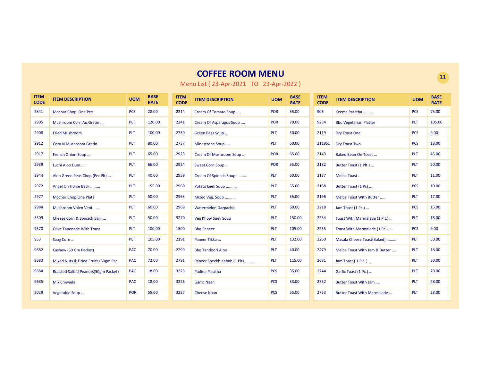| <b>ITEM</b><br><b>CODE</b> | <b>ITEM DESCRIPTION</b>              | <b>UOM</b> | <b>BASE</b><br><b>RATE</b> | <b>ITEM</b><br><b>CODE</b> | <b>ITEM DESCRIPTION</b>     | <b>UOM</b> | <b>BASE</b><br><b>RATE</b> | <b>ITEM</b><br><b>CODE</b> | <b>ITEM DESCRIPTION</b>            | <b>UOM</b> | <b>BASE</b><br><b>RATE</b> |
|----------------------------|--------------------------------------|------------|----------------------------|----------------------------|-----------------------------|------------|----------------------------|----------------------------|------------------------------------|------------|----------------------------|
| 2841                       | Mochar Chop One Pce                  | <b>PCS</b> | 28.00                      | 2214                       | Cream Of Tomato Soup        | <b>POR</b> | 55.00                      | 906                        | Keema Paratha                      | <b>PCS</b> | 75.00                      |
| 2905                       | Mushroom Corn Au.Gratin              | <b>PLT</b> | 120.00                     | 2241                       | Cream Of Asparagus Soup     | <b>POR</b> | 70.00                      | 9234                       | <b>Bbg Vegetarian Platter</b>      | <b>PLT</b> | 105.00                     |
| 2908                       | <b>Fried Mushroom</b>                | <b>PLT</b> | 100.00                     | 2730                       | Green Peas Soup             | PLT        | 50.00                      | 2119                       | <b>Dry Toast One</b>               | <b>PCS</b> | 9.00                       |
| 2912                       | Corn N Mushroom Gratin               | <b>PLT</b> | 80.00                      | 2737                       | Minestrone Soup             | PLT        | 60.00                      | 2119S1                     | <b>Dry Toast Two</b>               | <b>PCS</b> | 18.00                      |
| 2917                       | French Onion Soup                    | <b>PLT</b> | 65.00                      | 2923                       | Cream Of Mushroom Soup      | <b>POR</b> | 65.00                      | 2143                       | Baked Bean On Toast                | <b>PLT</b> | 45.00                      |
| 2939                       | Luchi Aloo Dum.                      | <b>PLT</b> | 66.00                      | 2924                       | Sweet Corn Soup             | <b>POR</b> | 55.00                      | 2182                       | Butter Toast (1 Plt.)              | <b>PLT</b> | 20.00                      |
| 2944                       | Aloo Green Peas Chop (Per Plt)       | <b>PLT</b> | 40.00                      | 2959                       | Cream Of Spinach Soup       | PLT        | 60.00                      | 2187                       | Melba Toast                        | <b>PLT</b> | 11.00                      |
| 2972                       | Angel On Horse Back                  | <b>PLT</b> | 155.00                     | 2960                       | Potato Leek Soup            | <b>PLT</b> | 55.00                      | 2188                       | Butter Toast (1 Pc)                | <b>PCS</b> | 10.00                      |
| 2977                       | <b>Mochar Chop One Plate</b>         | <b>PLT</b> | 50.00                      | 2963                       | Mixed Veg. Soup             | <b>PLT</b> | 55.00                      | 2196                       | Melba Toast With Butter            | <b>PLT</b> | 17.00                      |
| 2984                       | Mushroom Volen Vent                  | <b>PLT</b> | 60.00                      | 2969                       | <b>Watermelon Gazpacho</b>  | <b>PLT</b> | 60.00                      | 2218                       | Jam Toast (1 Pc.)                  | <b>PCS</b> | 15.00                      |
| 3509                       | Cheese Corn & Spinach Ball           | <b>PLT</b> | 50.00                      | 9270                       | <b>Veg Khow Suey Soup</b>   | PLT        | 150.00                     | 2234                       | Toast With Marmalade (1 Plt.)      | <b>PLT</b> | 18.00                      |
| 9370                       | <b>Olive Tapenade With Toast</b>     | <b>PLT</b> | 100.00                     | 1500                       | <b>Bbq Paneer</b>           | PLT        | 105.00                     | 2235                       | Toast With Marmalade (1 Pc.)       | <b>PCS</b> | 9.00                       |
| 953                        | Saag Corn                            | <b>PLT</b> | 105.00                     | 2191                       | Paneer Tikka                | PLT        | 132.00                     | 2260                       | Masala Cheese Toast(Baked)         | <b>PLT</b> | 50.00                      |
| 9682                       | Cashew (50 Gm Packet)                | <b>PAC</b> | 70.00                      | 2299                       | <b>Bbg Tandoori Aloo</b>    | PLT        | 40.00                      | 2479                       | Melba Toast With Jam & Butter      | <b>PLT</b> | 18.00                      |
| 9683                       | Mixed Nuts & Dried Fruits (50gm Pac  | <b>PAC</b> | 72.00                      | 2791                       | Paneer Sheekh Kebab (1 Plt) | <b>PLT</b> | 115.00                     | 2681                       | Jam Toast (1 Plt.)                 | <b>PLT</b> | 30.00                      |
| 9684                       | Roasted Salted Peanuts (50gm Packet) | <b>PAC</b> | 18.00                      | 3225                       | <b>Pudina Paratha</b>       | <b>PCS</b> | 35.00                      | 2744                       | Garlic Toast (1 Pc.)               | <b>PLT</b> | 20.00                      |
| 9685                       | Mix Chiwada                          | <b>PAC</b> | 18.00                      | 3226                       | <b>Garlic Naan</b>          | <b>PCS</b> | 33.00                      | 2752                       | Butter Toast With Jam              | <b>PLT</b> | 28.00                      |
| 2029                       | Vegetable Soup                       | <b>POR</b> | 55.00                      | 3227                       | <b>Cheese Naan</b>          | <b>PCS</b> | 55.00                      | 2753                       | <b>Butter Toast With Marmalade</b> | <b>PLT</b> | 28.00                      |

Menu List ( 23-Apr-2021 TO 23-Apr-2022 )